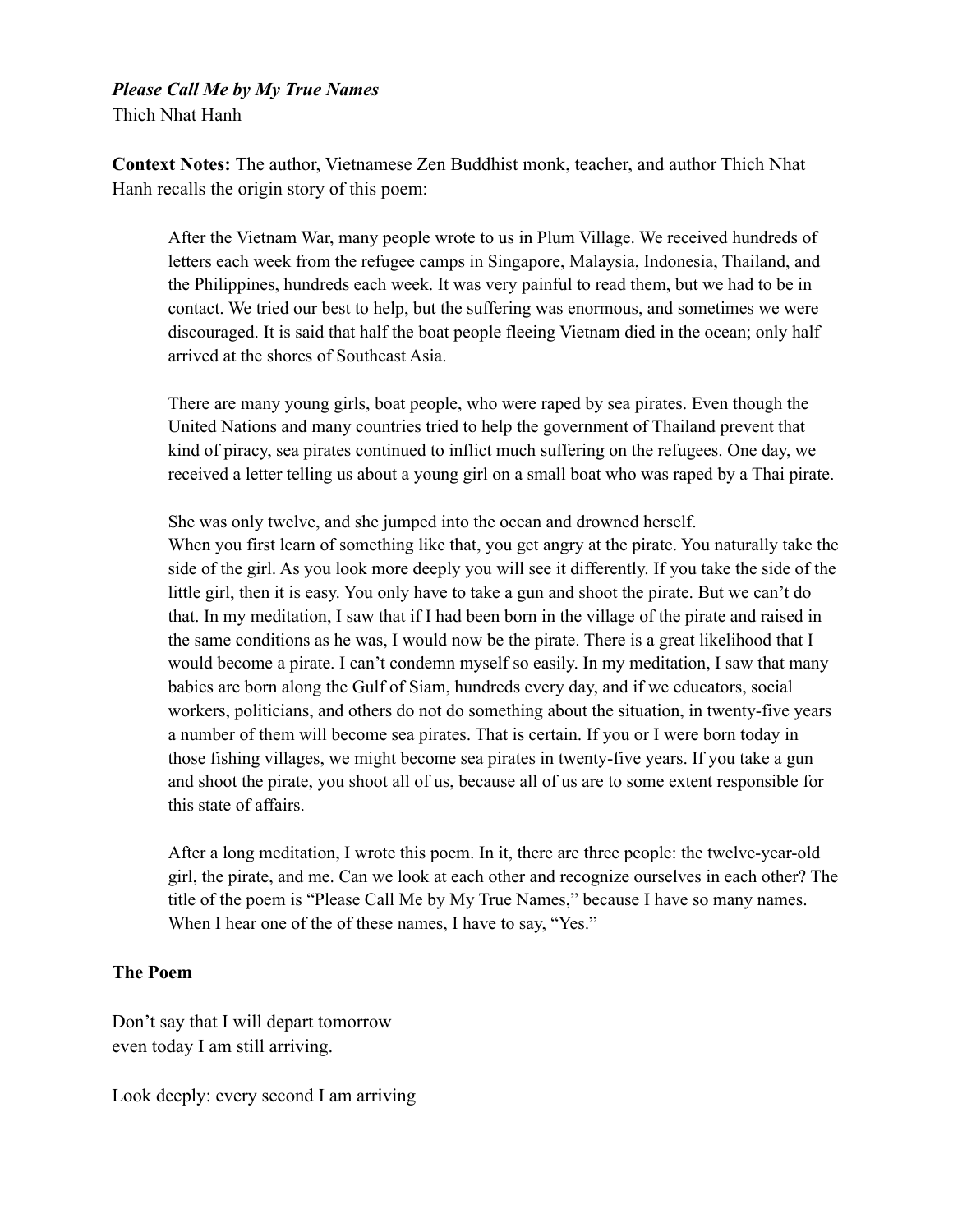## *Please Call Me by My True Names*

Thich Nhat Hanh

**Context Notes:** The author, Vietnamese Zen Buddhist monk, teacher, and author Thich Nhat Hanh recalls the origin story of this poem:

After the Vietnam War, many people wrote to us in Plum Village. We received hundreds of letters each week from the refugee camps in Singapore, Malaysia, Indonesia, Thailand, and the Philippines, hundreds each week. It was very painful to read them, but we had to be in contact. We tried our best to help, but the suffering was enormous, and sometimes we were discouraged. It is said that half the boat people fleeing Vietnam died in the ocean; only half arrived at the shores of Southeast Asia.

There are many young girls, boat people, who were raped by sea pirates. Even though the United Nations and many countries tried to help the government of Thailand prevent that kind of piracy, sea pirates continued to inflict much suffering on the refugees. One day, we received a letter telling us about a young girl on a small boat who was raped by a Thai pirate.

She was only twelve, and she jumped into the ocean and drowned herself. When you first learn of something like that, you get angry at the pirate. You naturally take the side of the girl. As you look more deeply you will see it differently. If you take the side of the little girl, then it is easy. You only have to take a gun and shoot the pirate. But we can't do that. In my meditation, I saw that if I had been born in the village of the pirate and raised in the same conditions as he was, I would now be the pirate. There is a great likelihood that I would become a pirate. I can't condemn myself so easily. In my meditation, I saw that many babies are born along the Gulf of Siam, hundreds every day, and if we educators, social workers, politicians, and others do not do something about the situation, in twenty-five years a number of them will become sea pirates. That is certain. If you or I were born today in those fishing villages, we might become sea pirates in twenty-five years. If you take a gun and shoot the pirate, you shoot all of us, because all of us are to some extent responsible for this state of affairs.

After a long meditation, I wrote this poem. In it, there are three people: the twelve-year-old girl, the pirate, and me. Can we look at each other and recognize ourselves in each other? The title of the poem is "Please Call Me by My True Names," because I have so many names. When I hear one of the of these names, I have to say, "Yes."

## **The Poem**

Don't say that I will depart tomorrow even today I am still arriving.

Look deeply: every second I am arriving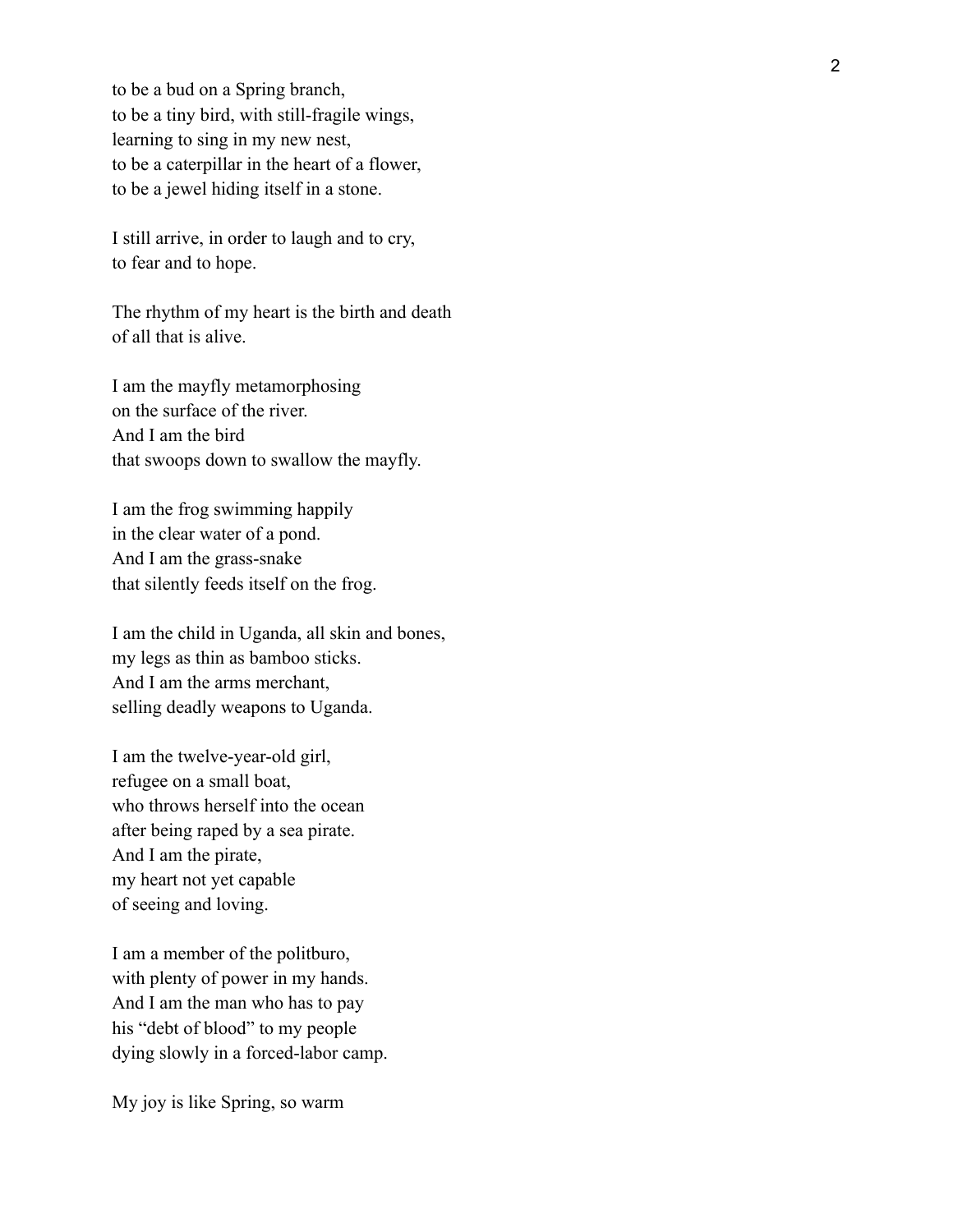to be a bud on a Spring branch, to be a tiny bird, with still-fragile wings, learning to sing in my new nest, to be a caterpillar in the heart of a flower , to be a jewel hiding itself in a stone.

I still arrive, in order to laugh and to cry , to fear and to hope.

The rhythm of my heart is the birth and death of all that is alive.

I am the mayfly metamorphosing on the surface of the river. And I am the bird that swoops down to swallow the mayfly.

I am the frog swimming happily in the clear water of a pond. And I am the grass-snake that silently feeds itself on the frog.

I am the child in Uganda, all skin and bones, my legs as thin as bamboo sticks. And I am the arms merchant, selling deadly weapons to Uganda.

I am the twelve-year-old girl, refugee on a small boat, who throws herself into the ocean after being raped by a sea pirate. And I am the pirate, my heart not yet capable of seeing and loving.

I am a member of the politburo, with plenty of power in my hands. And I am the man who has to pay his "debt of blood" to my people dying slowly in a forced-labor camp.

My joy is like Spring, so warm